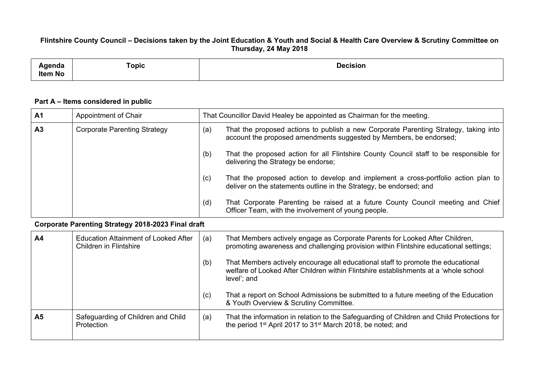## Flintshire County Council - Decisions taken by the Joint Education & Youth and Social & Health Care Overview & Scrutiny Committee on **Thursday, 24 May 2018**

| enua<br><b>Item No</b> | –<br>Topic | <b>Jecision</b><br>ווטופ |
|------------------------|------------|--------------------------|
|------------------------|------------|--------------------------|

## **Part A – Items considered in public**

| A1                                                 | Appointment of Chair                                                         | That Councillor David Healey be appointed as Chairman for the meeting.                                                                                                                         |  |  |
|----------------------------------------------------|------------------------------------------------------------------------------|------------------------------------------------------------------------------------------------------------------------------------------------------------------------------------------------|--|--|
| A3                                                 | <b>Corporate Parenting Strategy</b>                                          | That the proposed actions to publish a new Corporate Parenting Strategy, taking into<br>(a)<br>account the proposed amendments suggested by Members, be endorsed;                              |  |  |
|                                                    |                                                                              | That the proposed action for all Flintshire County Council staff to be responsible for<br>(b)<br>delivering the Strategy be endorse;                                                           |  |  |
|                                                    |                                                                              | That the proposed action to develop and implement a cross-portfolio action plan to<br>(c)<br>deliver on the statements outline in the Strategy, be endorsed; and                               |  |  |
|                                                    |                                                                              | That Corporate Parenting be raised at a future County Council meeting and Chief<br>(d)<br>Officer Team, with the involvement of young people.                                                  |  |  |
| Corporate Parenting Strategy 2018-2023 Final draft |                                                                              |                                                                                                                                                                                                |  |  |
| A4                                                 | <b>Education Attainment of Looked After</b><br><b>Children in Flintshire</b> | That Members actively engage as Corporate Parents for Looked After Children,<br>(a)<br>promoting awareness and challenging provision within Flintshire educational settings;                   |  |  |
|                                                    |                                                                              | That Members actively encourage all educational staff to promote the educational<br>(b)<br>welfare of Looked After Children within Flintshire establishments at a 'whole school<br>level'; and |  |  |
|                                                    |                                                                              | That a report on School Admissions be submitted to a future meeting of the Education<br>(c)<br>& Youth Overview & Scrutiny Committee.                                                          |  |  |
| A <sub>5</sub>                                     | Safeguarding of Children and Child<br>Protection                             | That the information in relation to the Safeguarding of Children and Child Protections for<br>(a)<br>the period 1 <sup>st</sup> April 2017 to 31 <sup>st</sup> March 2018, be noted; and       |  |  |